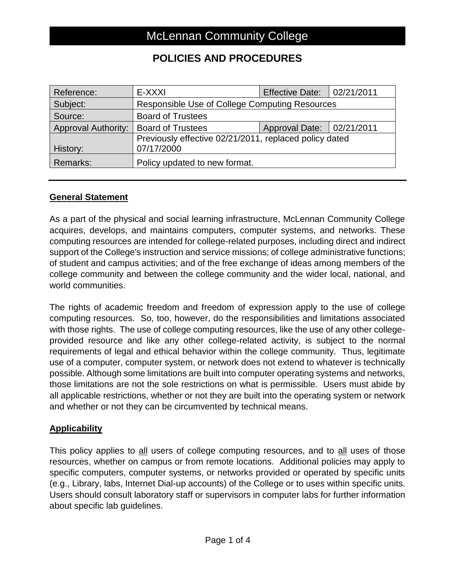### **POLICIES AND PROCEDURES**

| Reference:                 | E-XXXI                                                               | <b>Effective Date:</b>    | 102/21/2011 |
|----------------------------|----------------------------------------------------------------------|---------------------------|-------------|
| Subject:                   | Responsible Use of College Computing Resources                       |                           |             |
| Source:                    | <b>Board of Trustees</b>                                             |                           |             |
| <b>Approval Authority:</b> | <b>Board of Trustees</b>                                             | Approval Date: 02/21/2011 |             |
| History:                   | Previously effective 02/21/2011, replaced policy dated<br>07/17/2000 |                           |             |
| Remarks:                   | Policy updated to new format.                                        |                           |             |

#### **General Statement**

As a part of the physical and social learning infrastructure, McLennan Community College acquires, develops, and maintains computers, computer systems, and networks. These computing resources are intended for college-related purposes, including direct and indirect support of the College's instruction and service missions; of college administrative functions; of student and campus activities; and of the free exchange of ideas among members of the college community and between the college community and the wider local, national, and world communities.

The rights of academic freedom and freedom of expression apply to the use of college computing resources. So, too, however, do the responsibilities and limitations associated with those rights. The use of college computing resources, like the use of any other collegeprovided resource and like any other college-related activity, is subject to the normal requirements of legal and ethical behavior within the college community. Thus, legitimate use of a computer, computer system, or network does not extend to whatever is technically possible. Although some limitations are built into computer operating systems and networks, those limitations are not the sole restrictions on what is permissible. Users must abide by all applicable restrictions, whether or not they are built into the operating system or network and whether or not they can be circumvented by technical means.

#### **Applicability**

This policy applies to all users of college computing resources, and to all uses of those resources, whether on campus or from remote locations. Additional policies may apply to specific computers, computer systems, or networks provided or operated by specific units (e.g., Library, labs, Internet Dial-up accounts) of the College or to uses within specific units. Users should consult laboratory staff or supervisors in computer labs for further information about specific lab guidelines.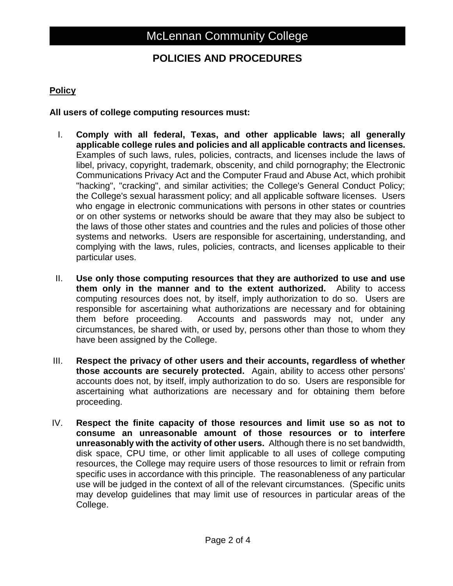### **POLICIES AND PROCEDURES**

### **Policy**

**All users of college computing resources must:**

- I. **Comply with all federal, Texas, and other applicable laws; all generally applicable college rules and policies and all applicable contracts and licenses.** Examples of such laws, rules, policies, contracts, and licenses include the laws of libel, privacy, copyright, trademark, obscenity, and child pornography; the Electronic Communications Privacy Act and the Computer Fraud and Abuse Act, which prohibit "hacking", "cracking", and similar activities; the College's General Conduct Policy; the College's sexual harassment policy; and all applicable software licenses. Users who engage in electronic communications with persons in other states or countries or on other systems or networks should be aware that they may also be subject to the laws of those other states and countries and the rules and policies of those other systems and networks. Users are responsible for ascertaining, understanding, and complying with the laws, rules, policies, contracts, and licenses applicable to their particular uses.
- II. **Use only those computing resources that they are authorized to use and use them only in the manner and to the extent authorized.** Ability to access computing resources does not, by itself, imply authorization to do so. Users are responsible for ascertaining what authorizations are necessary and for obtaining them before proceeding. Accounts and passwords may not, under any circumstances, be shared with, or used by, persons other than those to whom they have been assigned by the College.
- III. **Respect the privacy of other users and their accounts, regardless of whether those accounts are securely protected.** Again, ability to access other persons' accounts does not, by itself, imply authorization to do so. Users are responsible for ascertaining what authorizations are necessary and for obtaining them before proceeding.
- IV. **Respect the finite capacity of those resources and limit use so as not to consume an unreasonable amount of those resources or to interfere unreasonably with the activity of other users.** Although there is no set bandwidth, disk space, CPU time, or other limit applicable to all uses of college computing resources, the College may require users of those resources to limit or refrain from specific uses in accordance with this principle. The reasonableness of any particular use will be judged in the context of all of the relevant circumstances. (Specific units may develop guidelines that may limit use of resources in particular areas of the College.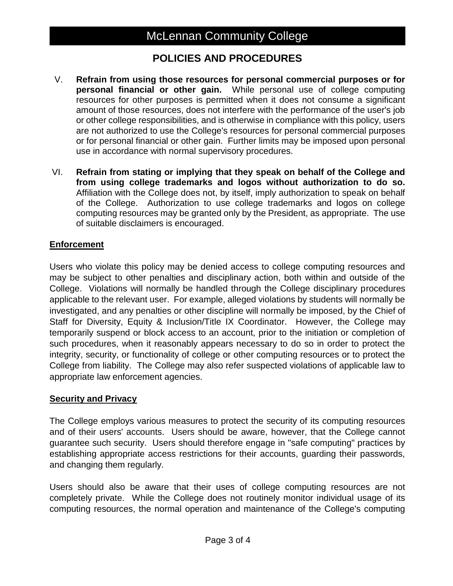## McLennan Community College

### **POLICIES AND PROCEDURES**

- V. **Refrain from using those resources for personal commercial purposes or for personal financial or other gain.** While personal use of college computing resources for other purposes is permitted when it does not consume a significant amount of those resources, does not interfere with the performance of the user's job or other college responsibilities, and is otherwise in compliance with this policy, users are not authorized to use the College's resources for personal commercial purposes or for personal financial or other gain. Further limits may be imposed upon personal use in accordance with normal supervisory procedures.
- VI. **Refrain from stating or implying that they speak on behalf of the College and from using college trademarks and logos without authorization to do so.** Affiliation with the College does not, by itself, imply authorization to speak on behalf of the College. Authorization to use college trademarks and logos on college computing resources may be granted only by the President, as appropriate. The use of suitable disclaimers is encouraged.

#### **Enforcement**

Users who violate this policy may be denied access to college computing resources and may be subject to other penalties and disciplinary action, both within and outside of the College. Violations will normally be handled through the College disciplinary procedures applicable to the relevant user. For example, alleged violations by students will normally be investigated, and any penalties or other discipline will normally be imposed, by the Chief of Staff for Diversity, Equity & Inclusion/Title IX Coordinator. However, the College may temporarily suspend or block access to an account, prior to the initiation or completion of such procedures, when it reasonably appears necessary to do so in order to protect the integrity, security, or functionality of college or other computing resources or to protect the College from liability. The College may also refer suspected violations of applicable law to appropriate law enforcement agencies.

#### **Security and Privacy**

The College employs various measures to protect the security of its computing resources and of their users' accounts. Users should be aware, however, that the College cannot guarantee such security. Users should therefore engage in "safe computing" practices by establishing appropriate access restrictions for their accounts, guarding their passwords, and changing them regularly.

Users should also be aware that their uses of college computing resources are not completely private. While the College does not routinely monitor individual usage of its computing resources, the normal operation and maintenance of the College's computing